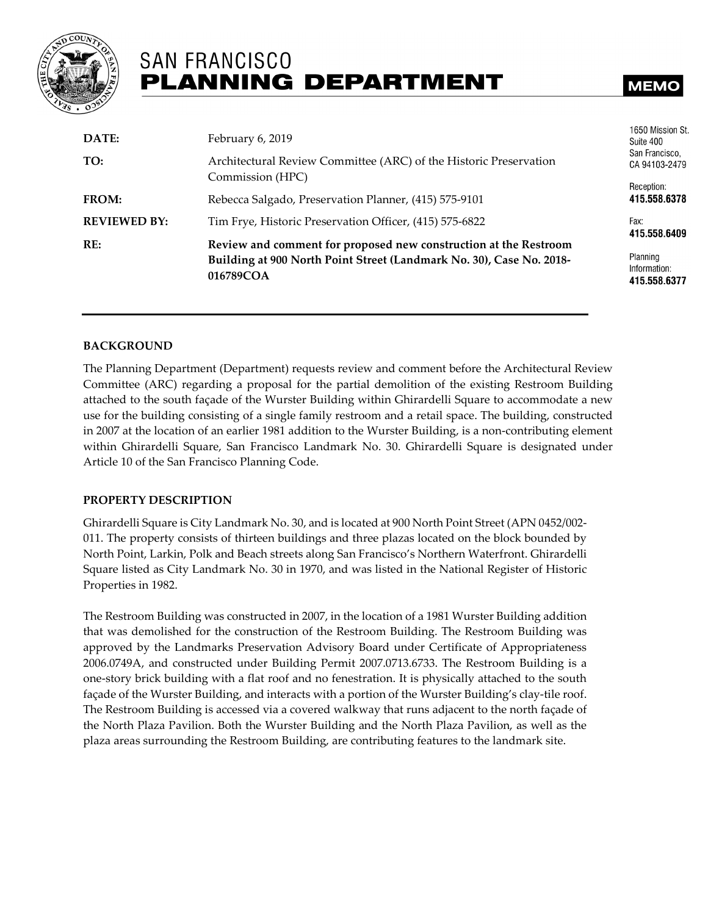

# **SAN FRANCISCO PLANNING DEPARTMENT**

# **MEMC**

| DATE:               | February 6, 2019                                                                  | 1650 Mission St<br>Suite 400             |
|---------------------|-----------------------------------------------------------------------------------|------------------------------------------|
| TO:                 | Architectural Review Committee (ARC) of the Historic Preservation                 | San Francisco,<br>CA 94103-2479          |
|                     | Commission (HPC)                                                                  | Reception:                               |
| FROM:               | Rebecca Salgado, Preservation Planner, (415) 575-9101                             | 415.558.6378                             |
| <b>REVIEWED BY:</b> | Tim Frye, Historic Preservation Officer, (415) 575-6822                           | Fax:<br>415.558.6409                     |
| RE:                 | Review and comment for proposed new construction at the Restroom                  |                                          |
|                     | Building at 900 North Point Street (Landmark No. 30), Case No. 2018-<br>016789COA | Planning<br>Information:<br>415.558.6377 |

#### **BACKGROUND**

The Planning Department (Department) requests review and comment before the Architectural Review Committee (ARC) regarding a proposal for the partial demolition of the existing Restroom Building attached to the south façade of the Wurster Building within Ghirardelli Square to accommodate a new use for the building consisting of a single family restroom and a retail space. The building, constructed in 2007 at the location of an earlier 1981 addition to the Wurster Building, is a non-contributing element within Ghirardelli Square, San Francisco Landmark No. 30. Ghirardelli Square is designated under Article 10 of the San Francisco Planning Code.

#### **PROPERTY DESCRIPTION**

Ghirardelli Square is City Landmark No. 30, and is located at 900 North Point Street (APN 0452/002- 011. The property consists of thirteen buildings and three plazas located on the block bounded by North Point, Larkin, Polk and Beach streets along San Francisco's Northern Waterfront. Ghirardelli Square listed as City Landmark No. 30 in 1970, and was listed in the National Register of Historic Properties in 1982.

The Restroom Building was constructed in 2007, in the location of a 1981 Wurster Building addition that was demolished for the construction of the Restroom Building. The Restroom Building was approved by the Landmarks Preservation Advisory Board under Certificate of Appropriateness 2006.0749A, and constructed under Building Permit 2007.0713.6733. The Restroom Building is a one-story brick building with a flat roof and no fenestration. It is physically attached to the south façade of the Wurster Building, and interacts with a portion of the Wurster Building's clay-tile roof. The Restroom Building is accessed via a covered walkway that runs adjacent to the north façade of the North Plaza Pavilion. Both the Wurster Building and the North Plaza Pavilion, as well as the plaza areas surrounding the Restroom Building, are contributing features to the landmark site.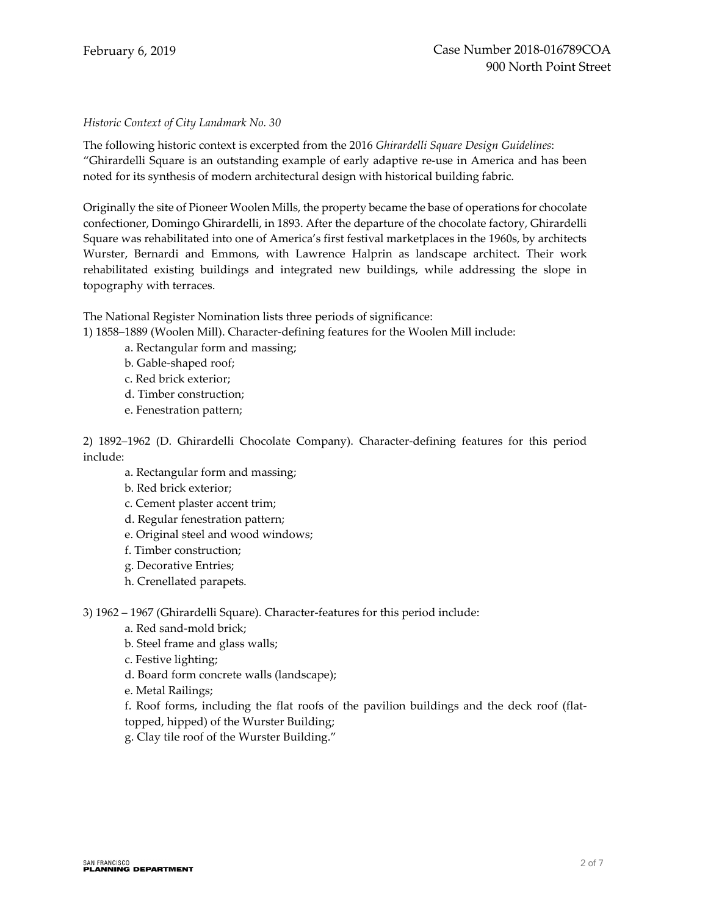#### *Historic Context of City Landmark No. 30*

The following historic context is excerpted from the 2016 *Ghirardelli Square Design Guidelines*: "Ghirardelli Square is an outstanding example of early adaptive re-use in America and has been noted for its synthesis of modern architectural design with historical building fabric.

Originally the site of Pioneer Woolen Mills, the property became the base of operations for chocolate confectioner, Domingo Ghirardelli, in 1893. After the departure of the chocolate factory, Ghirardelli Square was rehabilitated into one of America's first festival marketplaces in the 1960s, by architects Wurster, Bernardi and Emmons, with Lawrence Halprin as landscape architect. Their work rehabilitated existing buildings and integrated new buildings, while addressing the slope in topography with terraces.

The National Register Nomination lists three periods of significance:

1) 1858–1889 (Woolen Mill). Character-defining features for the Woolen Mill include:

- a. Rectangular form and massing;
- b. Gable-shaped roof;
- c. Red brick exterior;
- d. Timber construction;
- e. Fenestration pattern;

2) 1892–1962 (D. Ghirardelli Chocolate Company). Character-defining features for this period include:

- a. Rectangular form and massing;
- b. Red brick exterior;
- c. Cement plaster accent trim;
- d. Regular fenestration pattern;
- e. Original steel and wood windows;
- f. Timber construction;
- g. Decorative Entries;
- h. Crenellated parapets.

3) 1962 – 1967 (Ghirardelli Square). Character-features for this period include:

- a. Red sand-mold brick;
- b. Steel frame and glass walls;
- c. Festive lighting;
- d. Board form concrete walls (landscape);
- e. Metal Railings;
- f. Roof forms, including the flat roofs of the pavilion buildings and the deck roof (flat-
- topped, hipped) of the Wurster Building;
- g. Clay tile roof of the Wurster Building."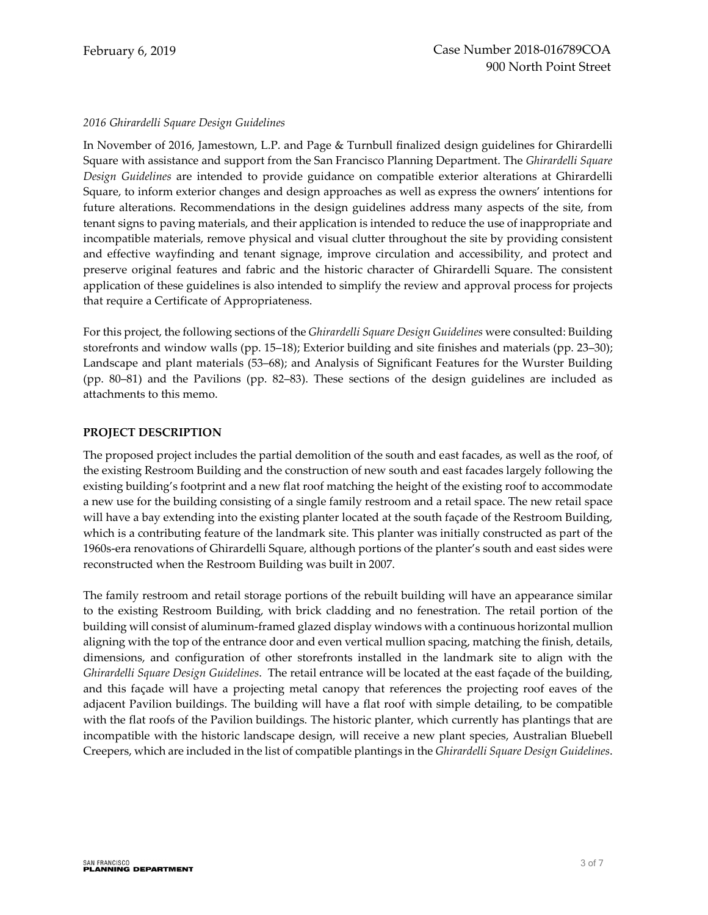#### *2016 Ghirardelli Square Design Guidelines*

In November of 2016, Jamestown, L.P. and Page & Turnbull finalized design guidelines for Ghirardelli Square with assistance and support from the San Francisco Planning Department. The *Ghirardelli Square Design Guidelines* are intended to provide guidance on compatible exterior alterations at Ghirardelli Square, to inform exterior changes and design approaches as well as express the owners' intentions for future alterations. Recommendations in the design guidelines address many aspects of the site, from tenant signs to paving materials, and their application is intended to reduce the use of inappropriate and incompatible materials, remove physical and visual clutter throughout the site by providing consistent and effective wayfinding and tenant signage, improve circulation and accessibility, and protect and preserve original features and fabric and the historic character of Ghirardelli Square. The consistent application of these guidelines is also intended to simplify the review and approval process for projects that require a Certificate of Appropriateness.

For this project, the following sections of the *Ghirardelli Square Design Guidelines* were consulted: Building storefronts and window walls (pp. 15–18); Exterior building and site finishes and materials (pp. 23–30); Landscape and plant materials (53–68); and Analysis of Significant Features for the Wurster Building (pp. 80–81) and the Pavilions (pp. 82–83). These sections of the design guidelines are included as attachments to this memo.

#### **PROJECT DESCRIPTION**

The proposed project includes the partial demolition of the south and east facades, as well as the roof, of the existing Restroom Building and the construction of new south and east facades largely following the existing building's footprint and a new flat roof matching the height of the existing roof to accommodate a new use for the building consisting of a single family restroom and a retail space. The new retail space will have a bay extending into the existing planter located at the south façade of the Restroom Building, which is a contributing feature of the landmark site. This planter was initially constructed as part of the 1960s-era renovations of Ghirardelli Square, although portions of the planter's south and east sides were reconstructed when the Restroom Building was built in 2007.

The family restroom and retail storage portions of the rebuilt building will have an appearance similar to the existing Restroom Building, with brick cladding and no fenestration. The retail portion of the building will consist of aluminum-framed glazed display windows with a continuous horizontal mullion aligning with the top of the entrance door and even vertical mullion spacing, matching the finish, details, dimensions, and configuration of other storefronts installed in the landmark site to align with the *Ghirardelli Square Design Guidelines*. The retail entrance will be located at the east façade of the building, and this façade will have a projecting metal canopy that references the projecting roof eaves of the adjacent Pavilion buildings. The building will have a flat roof with simple detailing, to be compatible with the flat roofs of the Pavilion buildings. The historic planter, which currently has plantings that are incompatible with the historic landscape design, will receive a new plant species, Australian Bluebell Creepers, which are included in the list of compatible plantings in the *Ghirardelli Square Design Guidelines*.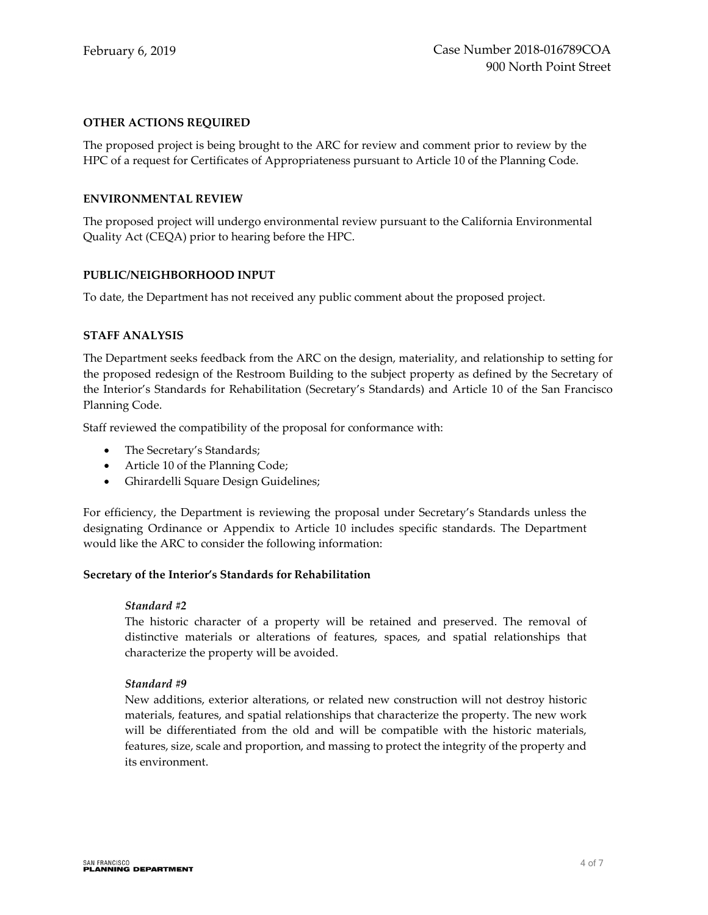#### **OTHER ACTIONS REQUIRED**

The proposed project is being brought to the ARC for review and comment prior to review by the HPC of a request for Certificates of Appropriateness pursuant to Article 10 of the Planning Code.

#### **ENVIRONMENTAL REVIEW**

The proposed project will undergo environmental review pursuant to the California Environmental Quality Act (CEQA) prior to hearing before the HPC.

#### **PUBLIC/NEIGHBORHOOD INPUT**

To date, the Department has not received any public comment about the proposed project.

#### **STAFF ANALYSIS**

The Department seeks feedback from the ARC on the design, materiality, and relationship to setting for the proposed redesign of the Restroom Building to the subject property as defined by the Secretary of the Interior's Standards for Rehabilitation (Secretary's Standards) and Article 10 of the San Francisco Planning Code.

Staff reviewed the compatibility of the proposal for conformance with:

- The Secretary's Standards;
- Article 10 of the Planning Code;
- Ghirardelli Square Design Guidelines;

For efficiency, the Department is reviewing the proposal under Secretary's Standards unless the designating Ordinance or Appendix to Article 10 includes specific standards. The Department would like the ARC to consider the following information:

#### **Secretary of the Interior's Standards for Rehabilitation**

#### *Standard #2*

The historic character of a property will be retained and preserved. The removal of distinctive materials or alterations of features, spaces, and spatial relationships that characterize the property will be avoided.

#### *Standard #9*

New additions, exterior alterations, or related new construction will not destroy historic materials, features, and spatial relationships that characterize the property. The new work will be differentiated from the old and will be compatible with the historic materials, features, size, scale and proportion, and massing to protect the integrity of the property and its environment.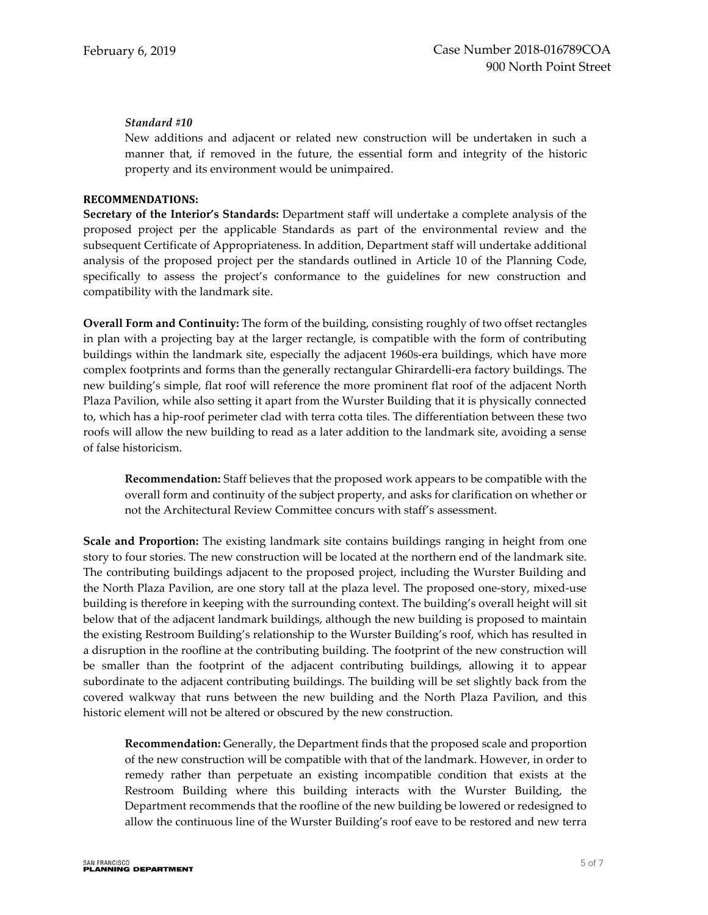### *Standard #10*

New additions and adjacent or related new construction will be undertaken in such a manner that, if removed in the future, the essential form and integrity of the historic property and its environment would be unimpaired.

#### **RECOMMENDATIONS:**

**Secretary of the Interior's Standards:** Department staff will undertake a complete analysis of the proposed project per the applicable Standards as part of the environmental review and the subsequent Certificate of Appropriateness. In addition, Department staff will undertake additional analysis of the proposed project per the standards outlined in Article 10 of the Planning Code, specifically to assess the project's conformance to the guidelines for new construction and compatibility with the landmark site.

**Overall Form and Continuity:** The form of the building, consisting roughly of two offset rectangles in plan with a projecting bay at the larger rectangle, is compatible with the form of contributing buildings within the landmark site, especially the adjacent 1960s-era buildings, which have more complex footprints and forms than the generally rectangular Ghirardelli-era factory buildings. The new building's simple, flat roof will reference the more prominent flat roof of the adjacent North Plaza Pavilion, while also setting it apart from the Wurster Building that it is physically connected to, which has a hip-roof perimeter clad with terra cotta tiles. The differentiation between these two roofs will allow the new building to read as a later addition to the landmark site, avoiding a sense of false historicism.

**Recommendation:** Staff believes that the proposed work appears to be compatible with the overall form and continuity of the subject property, and asks for clarification on whether or not the Architectural Review Committee concurs with staff's assessment.

**Scale and Proportion:** The existing landmark site contains buildings ranging in height from one story to four stories. The new construction will be located at the northern end of the landmark site. The contributing buildings adjacent to the proposed project, including the Wurster Building and the North Plaza Pavilion, are one story tall at the plaza level. The proposed one-story, mixed-use building is therefore in keeping with the surrounding context. The building's overall height will sit below that of the adjacent landmark buildings, although the new building is proposed to maintain the existing Restroom Building's relationship to the Wurster Building's roof, which has resulted in a disruption in the roofline at the contributing building. The footprint of the new construction will be smaller than the footprint of the adjacent contributing buildings, allowing it to appear subordinate to the adjacent contributing buildings. The building will be set slightly back from the covered walkway that runs between the new building and the North Plaza Pavilion, and this historic element will not be altered or obscured by the new construction.

**Recommendation:** Generally, the Department finds that the proposed scale and proportion of the new construction will be compatible with that of the landmark. However, in order to remedy rather than perpetuate an existing incompatible condition that exists at the Restroom Building where this building interacts with the Wurster Building, the Department recommends that the roofline of the new building be lowered or redesigned to allow the continuous line of the Wurster Building's roof eave to be restored and new terra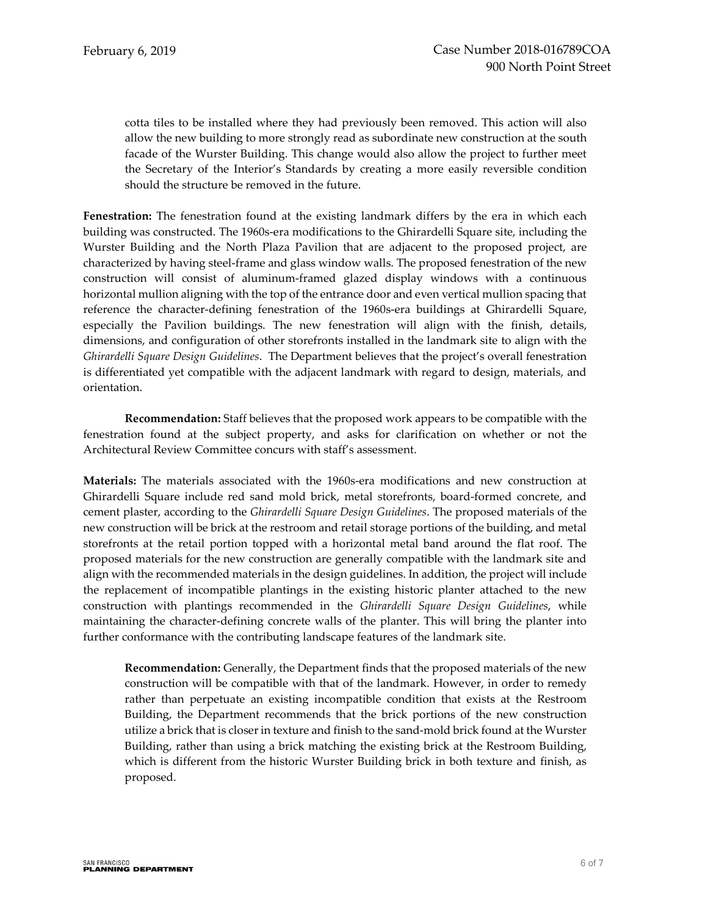cotta tiles to be installed where they had previously been removed. This action will also allow the new building to more strongly read as subordinate new construction at the south facade of the Wurster Building. This change would also allow the project to further meet the Secretary of the Interior's Standards by creating a more easily reversible condition should the structure be removed in the future.

**Fenestration:** The fenestration found at the existing landmark differs by the era in which each building was constructed. The 1960s-era modifications to the Ghirardelli Square site, including the Wurster Building and the North Plaza Pavilion that are adjacent to the proposed project, are characterized by having steel-frame and glass window walls. The proposed fenestration of the new construction will consist of aluminum-framed glazed display windows with a continuous horizontal mullion aligning with the top of the entrance door and even vertical mullion spacing that reference the character-defining fenestration of the 1960s-era buildings at Ghirardelli Square, especially the Pavilion buildings. The new fenestration will align with the finish, details, dimensions, and configuration of other storefronts installed in the landmark site to align with the *Ghirardelli Square Design Guidelines*. The Department believes that the project's overall fenestration is differentiated yet compatible with the adjacent landmark with regard to design, materials, and orientation.

**Recommendation:** Staff believes that the proposed work appears to be compatible with the fenestration found at the subject property, and asks for clarification on whether or not the Architectural Review Committee concurs with staff's assessment.

**Materials:** The materials associated with the 1960s-era modifications and new construction at Ghirardelli Square include red sand mold brick, metal storefronts, board-formed concrete, and cement plaster, according to the *Ghirardelli Square Design Guidelines*. The proposed materials of the new construction will be brick at the restroom and retail storage portions of the building, and metal storefronts at the retail portion topped with a horizontal metal band around the flat roof. The proposed materials for the new construction are generally compatible with the landmark site and align with the recommended materials in the design guidelines. In addition, the project will include the replacement of incompatible plantings in the existing historic planter attached to the new construction with plantings recommended in the *Ghirardelli Square Design Guidelines*, while maintaining the character-defining concrete walls of the planter. This will bring the planter into further conformance with the contributing landscape features of the landmark site.

**Recommendation:** Generally, the Department finds that the proposed materials of the new construction will be compatible with that of the landmark. However, in order to remedy rather than perpetuate an existing incompatible condition that exists at the Restroom Building, the Department recommends that the brick portions of the new construction utilize a brick that is closer in texture and finish to the sand-mold brick found at the Wurster Building, rather than using a brick matching the existing brick at the Restroom Building, which is different from the historic Wurster Building brick in both texture and finish, as proposed.